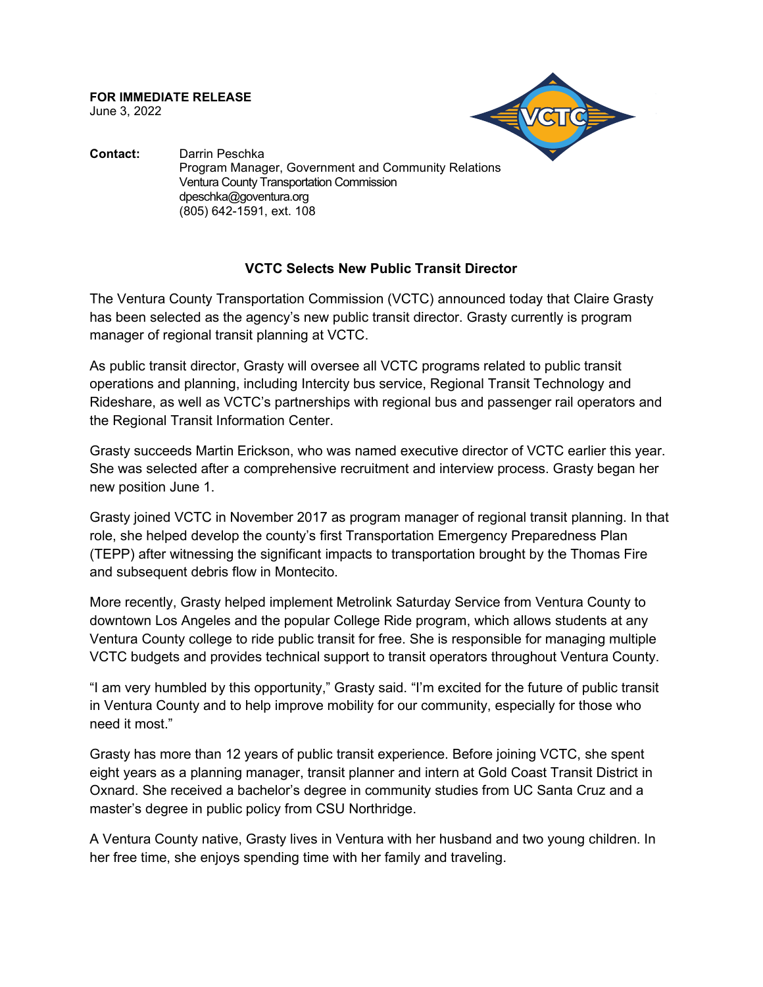**FOR IMMEDIATE RELEASE** June 3, 2022



**Contact:** Darrin Peschka Program Manager, Government and Community Relations Ventura County Transportation Commission dpeschka@goventura.org (805) 642-1591, ext. 108

## **VCTC Selects New Public Transit Director**

The Ventura County Transportation Commission (VCTC) announced today that Claire Grasty has been selected as the agency's new public transit director. Grasty currently is program manager of regional transit planning at VCTC.

As public transit director, Grasty will oversee all VCTC programs related to public transit operations and planning, including Intercity bus service, Regional Transit Technology and Rideshare, as well as VCTC's partnerships with regional bus and passenger rail operators and the Regional Transit Information Center.

Grasty succeeds Martin Erickson, who was named executive director of VCTC earlier this year. She was selected after a comprehensive recruitment and interview process. Grasty began her new position June 1.

Grasty joined VCTC in November 2017 as program manager of regional transit planning. In that role, she helped develop the county's first Transportation Emergency Preparedness Plan (TEPP) after witnessing the significant impacts to transportation brought by the Thomas Fire and subsequent debris flow in Montecito.

More recently, Grasty helped implement Metrolink Saturday Service from Ventura County to downtown Los Angeles and the popular College Ride program, which allows students at any Ventura County college to ride public transit for free. She is responsible for managing multiple VCTC budgets and provides technical support to transit operators throughout Ventura County.

"I am very humbled by this opportunity," Grasty said. "I'm excited for the future of public transit in Ventura County and to help improve mobility for our community, especially for those who need it most."

Grasty has more than 12 years of public transit experience. Before joining VCTC, she spent eight years as a planning manager, transit planner and intern at Gold Coast Transit District in Oxnard. She received a bachelor's degree in community studies from UC Santa Cruz and a master's degree in public policy from CSU Northridge.

A Ventura County native, Grasty lives in Ventura with her husband and two young children. In her free time, she enjoys spending time with her family and traveling.